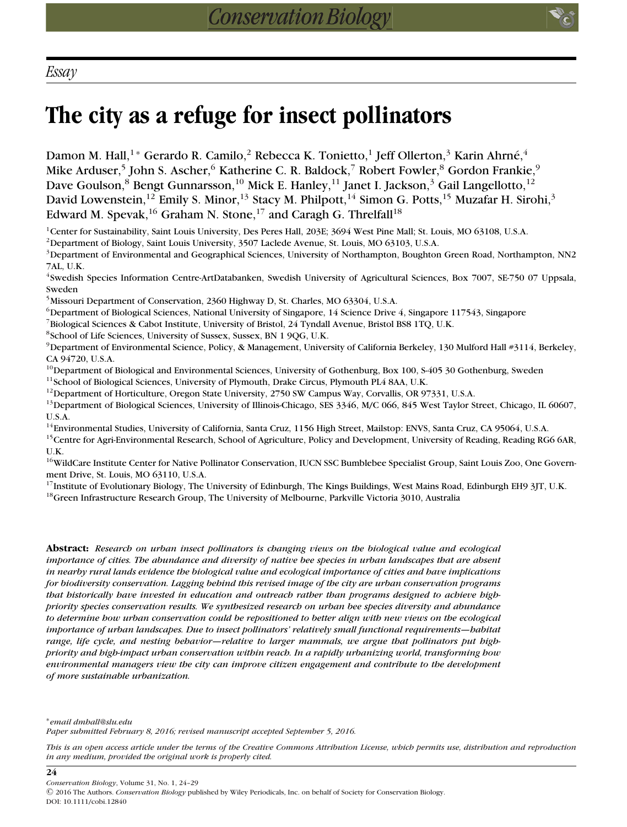**24**

## **The city as a refuge for insect pollinators**

Damon M. Hall,<sup>1\*</sup> Gerardo R. Camilo,<sup>2</sup> Rebecca K. Tonietto,<sup>1</sup> Jeff Ollerton,<sup>3</sup> Karin Ahrné,<sup>4</sup> Mike Arduser,<sup>5</sup> John S. Ascher,<sup>6</sup> Katherine C. R. Baldock,<sup>7</sup> Robert Fowler,<sup>8</sup> Gordon Frankie,<sup>9</sup> Dave Goulson,<sup>8</sup> Bengt Gunnarsson,<sup>10</sup> Mick E. Hanley,<sup>11</sup> Janet I. Jackson,<sup>3</sup> Gail Langellotto,<sup>12</sup> David Lowenstein,<sup>12</sup> Emily S. Minor,<sup>13</sup> Stacy M. Philpott,<sup>14</sup> Simon G. Potts,<sup>15</sup> Muzafar H. Sirohi,<sup>3</sup> Edward M. Spevak,<sup>16</sup> Graham N. Stone,<sup>17</sup> and Caragh G. Threlfall<sup>18</sup>

<sup>1</sup>Center for Sustainability, Saint Louis University, Des Peres Hall, 203E; 3694 West Pine Mall; St. Louis, MO 63108, U.S.A.

2Department of Biology, Saint Louis University, 3507 Laclede Avenue, St. Louis, MO 63103, U.S.A.

3Department of Environmental and Geographical Sciences, University of Northampton, Boughton Green Road, Northampton, NN2 7AL, U.K.

4Swedish Species Information Centre-ArtDatabanken, Swedish University of Agricultural Sciences, Box 7007, SE-750 07 Uppsala, Sweden

5Missouri Department of Conservation, 2360 Highway D, St. Charles, MO 63304, U.S.A.

 $6$ Department of Biological Sciences, National University of Singapore, 14 Science Drive 4, Singapore 117543, Singapore

<sup>7</sup>Biological Sciences & Cabot Institute, University of Bristol, 24 Tyndall Avenue, Bristol BS8 1TQ, U.K.

8School of Life Sciences, University of Sussex, Sussex, BN 1 9QG, U.K.

<sup>9</sup>Department of Environmental Science, Policy, & Management, University of California Berkeley, 130 Mulford Hall #3114, Berkeley, CA 94720, U.S.A.

<sup>10</sup>Department of Biological and Environmental Sciences, University of Gothenburg, Box 100, S-405 30 Gothenburg, Sweden <sup>11</sup>School of Biological Sciences, University of Plymouth, Drake Circus, Plymouth PL4 8AA, U.K.

<sup>12</sup>Department of Horticulture, Oregon State University, 2750 SW Campus Way, Corvallis, OR 97331, U.S.A.

13Department of Biological Sciences, University of Illinois-Chicago, SES 3346, M/C 066, 845 West Taylor Street, Chicago, IL 60607, U.S.A.

<sup>14</sup>Environmental Studies, University of California, Santa Cruz, 1156 High Street, Mailstop: ENVS, Santa Cruz, CA 95064, U.S.A. <sup>15</sup>Centre for Agri-Environmental Research, School of Agriculture, Policy and Development, University of Reading, Reading RG6 6AR, U.K.

<sup>16</sup>WildCare Institute Center for Native Pollinator Conservation, IUCN SSC Bumblebee Specialist Group, Saint Louis Zoo, One Government Drive, St. Louis, MO 63110, U.S.A.

<sup>17</sup>Institute of Evolutionary Biology, The University of Edinburgh, The Kings Buildings, West Mains Road, Edinburgh EH9 3JT, U.K. <sup>18</sup>Green Infrastructure Research Group, The University of Melbourne, Parkville Victoria 3010, Australia

**Abstract:** *Research on urban insect pollinators is changing views on the biological value and ecological importance of cities. The abundance and diversity of native bee species in urban landscapes that are absent in nearby rural lands evidence the biological value and ecological importance of cities and have implications for biodiversity conservation. Lagging behind this revised image of the city are urban conservation programs that historically have invested in education and outreach rather than programs designed to achieve highpriority species conservation results. We synthesized research on urban bee species diversity and abundance to determine how urban conservation could be repositioned to better align with new views on the ecological importance of urban landscapes. Due to insect pollinators' relatively small functional requirements—habitat range, life cycle, and nesting behavior—relative to larger mammals, we argue that pollinators put highpriority and high-impact urban conservation within reach. In a rapidly urbanizing world, transforming how environmental managers view the city can improve citizen engagement and contribute to the development of more sustainable urbanization.*

∗*email dmhall@slu.edu Paper submitted February 8, 2016; revised manuscript accepted September 5, 2016.*

*This is an open access article under the terms of the [Creative Commons Attribution](http://creativecommons.org/licenses/by/4.0/) License, which permits use, distribution and reproduction in any medium, provided the original work is properly cited.*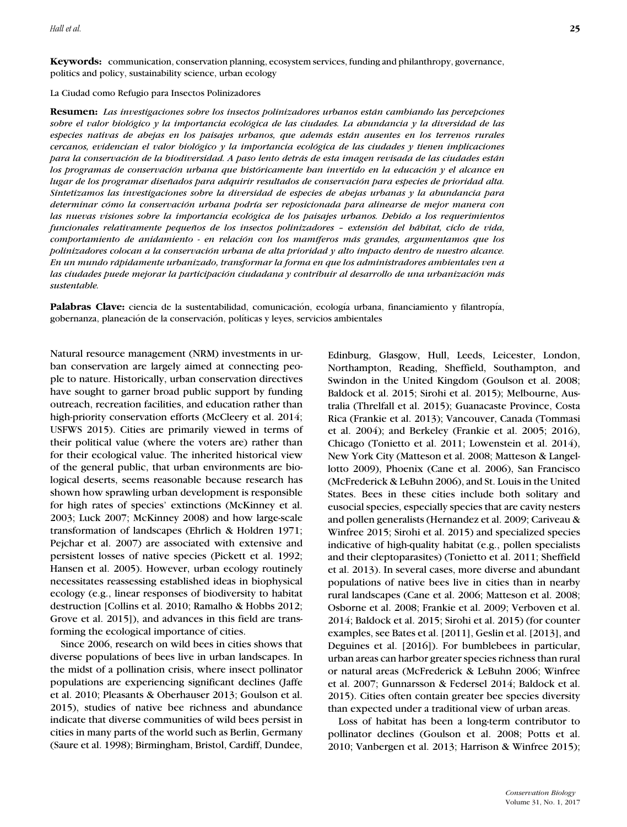## La Ciudad como Refugio para Insectos Polinizadores

**Resumen:** *Las investigaciones sobre los insectos polinizadores urbanos estan cambiando las percepciones ´*  $sobre$  *el valor biológico y la importancia ecológica de las ciudades. La abundancia y la diversidad de las especies nativas de abejas en los paisajes urbanos, que ademas est ´ an ausentes en los terrenos rurales ´ cercanos, evidencian el valor biologico y la importancia ecol ´ ogica de las ciudades y tienen implicaciones ´ para la conservacion de la biodiversidad. A paso lento detr ´ as de esta imagen revisada de las ciudades est ´ an´ los programas de conservacion urbana que hist ´ oricamente han invertido en la educaci ´ on y el alcance en ´ lugar de los programar disenados para adquirir resultados de conservaci ˜ on para especies de prioridad alta. ´ Sintetizamos las investigaciones sobre la diversidad de especies de abejas urbanas y la abundancia para determinar como la conservaci ´ on urbana podr ´ ´ıa ser reposicionada para alinearse de mejor manera con las nuevas visiones sobre la importancia ecologica de los paisajes urbanos. Debido a los requerimientos ´ funcionales relativamente pequenos de los insectos polinizadores – extensi ˜ on del h ´ abitat, ciclo de vida, ´ comportamiento de anidamiento - en relacion con los mam ´ ´ıferos mas grandes, argumentamos que los ´ polinizadores colocan a la conservacion urbana de alta prioridad y alto impacto dentro de nuestro alcance. ´ En un mundo rapidamente urbanizado, transformar la forma en que los administradores ambientales ven a ´ las ciudades puede mejorar la participacion ciudadana y contribuir al desarrollo de una urbanizaci ´ on m ´ as ´ sustentable.*

Palabras Clave: ciencia de la sustentabilidad, comunicación, ecología urbana, financiamiento y filantropía, gobernanza, planeación de la conservación, políticas y leyes, servicios ambientales

Natural resource management (NRM) investments in urban conservation are largely aimed at connecting people to nature. Historically, urban conservation directives have sought to garner broad public support by funding outreach, recreation facilities, and education rather than high-priority conservation efforts (McCleery et al. 2014; USFWS 2015). Cities are primarily viewed in terms of their political value (where the voters are) rather than for their ecological value. The inherited historical view of the general public, that urban environments are biological deserts, seems reasonable because research has shown how sprawling urban development is responsible for high rates of species' extinctions (McKinney et al. 2003; Luck 2007; McKinney 2008) and how large-scale transformation of landscapes (Ehrlich & Holdren 1971; Pejchar et al. 2007) are associated with extensive and persistent losses of native species (Pickett et al. 1992; Hansen et al. 2005). However, urban ecology routinely necessitates reassessing established ideas in biophysical ecology (e.g., linear responses of biodiversity to habitat destruction [Collins et al. 2010; Ramalho & Hobbs 2012; Grove et al. 2015]), and advances in this field are transforming the ecological importance of cities.

Since 2006, research on wild bees in cities shows that diverse populations of bees live in urban landscapes. In the midst of a pollination crisis, where insect pollinator populations are experiencing significant declines (Jaffe et al. 2010; Pleasants & Oberhauser 2013; Goulson et al. 2015), studies of native bee richness and abundance indicate that diverse communities of wild bees persist in cities in many parts of the world such as Berlin, Germany (Saure et al. 1998); Birmingham, Bristol, Cardiff, Dundee, Edinburg, Glasgow, Hull, Leeds, Leicester, London, Northampton, Reading, Sheffield, Southampton, and Swindon in the United Kingdom (Goulson et al. 2008; Baldock et al. 2015; Sirohi et al. 2015); Melbourne, Australia (Threlfall et al. 2015); Guanacaste Province, Costa Rica (Frankie et al. 2013); Vancouver, Canada (Tommasi et al. 2004); and Berkeley (Frankie et al. 2005; 2016), Chicago (Tonietto et al. 2011; Lowenstein et al. 2014), New York City (Matteson et al. 2008; Matteson & Langellotto 2009), Phoenix (Cane et al. 2006), San Francisco (McFrederick & LeBuhn 2006), and St. Louis in the United States. Bees in these cities include both solitary and eusocial species, especially species that are cavity nesters and pollen generalists (Hernandez et al. 2009; Cariveau & Winfree 2015; Sirohi et al. 2015) and specialized species indicative of high-quality habitat (e.g., pollen specialists and their cleptoparasites) (Tonietto et al. 2011; Sheffield et al. 2013). In several cases, more diverse and abundant populations of native bees live in cities than in nearby rural landscapes (Cane et al. 2006; Matteson et al. 2008; Osborne et al. 2008; Frankie et al. 2009; Verboven et al. 2014; Baldock et al. 2015; Sirohi et al. 2015) (for counter examples, see Bates et al. [2011], Geslin et al. [2013], and Deguines et al. [2016]). For bumblebees in particular, urban areas can harbor greater species richness than rural or natural areas (McFrederick & LeBuhn 2006; Winfree et al. 2007; Gunnarsson & Federsel 2014; Baldock et al. 2015). Cities often contain greater bee species diversity than expected under a traditional view of urban areas.

Loss of habitat has been a long-term contributor to pollinator declines (Goulson et al. 2008; Potts et al. 2010; Vanbergen et al. 2013; Harrison & Winfree 2015);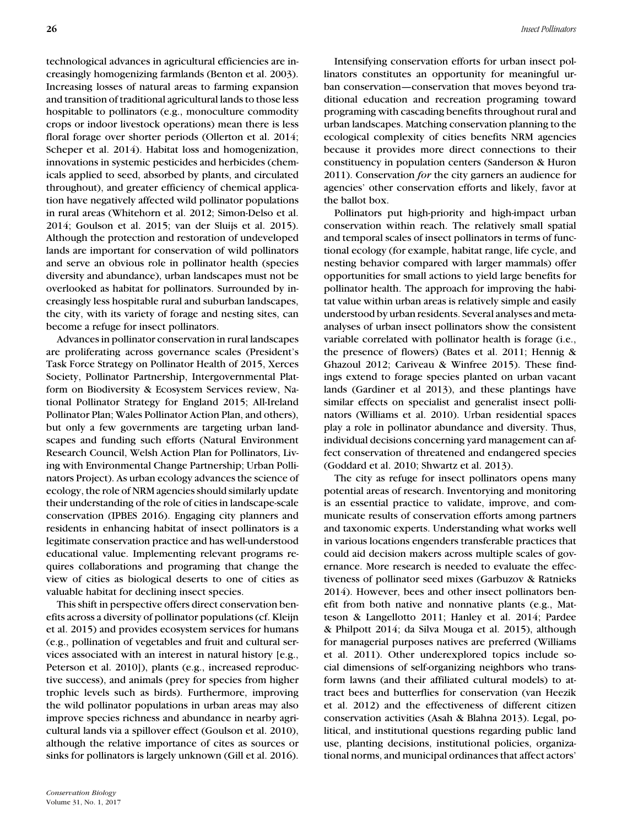technological advances in agricultural efficiencies are increasingly homogenizing farmlands (Benton et al. 2003). Increasing losses of natural areas to farming expansion and transition of traditional agricultural lands to those less hospitable to pollinators (e.g., monoculture commodity crops or indoor livestock operations) mean there is less floral forage over shorter periods (Ollerton et al. 2014; Scheper et al. 2014). Habitat loss and homogenization, innovations in systemic pesticides and herbicides (chemicals applied to seed, absorbed by plants, and circulated throughout), and greater efficiency of chemical application have negatively affected wild pollinator populations in rural areas (Whitehorn et al. 2012; Simon-Delso et al. 2014; Goulson et al. 2015; van der Sluijs et al. 2015). Although the protection and restoration of undeveloped lands are important for conservation of wild pollinators and serve an obvious role in pollinator health (species diversity and abundance), urban landscapes must not be overlooked as habitat for pollinators. Surrounded by increasingly less hospitable rural and suburban landscapes, the city, with its variety of forage and nesting sites, can become a refuge for insect pollinators.

Advances in pollinator conservation in rural landscapes are proliferating across governance scales (President's Task Force Strategy on Pollinator Health of 2015, Xerces Society, Pollinator Partnership, Intergovernmental Platform on Biodiversity & Ecosystem Services review, National Pollinator Strategy for England 2015; All-Ireland Pollinator Plan; Wales Pollinator Action Plan, and others), but only a few governments are targeting urban landscapes and funding such efforts (Natural Environment Research Council, Welsh Action Plan for Pollinators, Living with Environmental Change Partnership; Urban Pollinators Project). As urban ecology advances the science of ecology, the role of NRM agencies should similarly update their understanding of the role of cities in landscape-scale conservation (IPBES 2016). Engaging city planners and residents in enhancing habitat of insect pollinators is a legitimate conservation practice and has well-understood educational value. Implementing relevant programs requires collaborations and programing that change the view of cities as biological deserts to one of cities as valuable habitat for declining insect species.

This shift in perspective offers direct conservation benefits across a diversity of pollinator populations (cf. Kleijn et al. 2015) and provides ecosystem services for humans (e.g., pollination of vegetables and fruit and cultural services associated with an interest in natural history [e.g., Peterson et al. 2010]), plants (e.g., increased reproductive success), and animals (prey for species from higher trophic levels such as birds). Furthermore, improving the wild pollinator populations in urban areas may also improve species richness and abundance in nearby agricultural lands via a spillover effect (Goulson et al. 2010), although the relative importance of cites as sources or sinks for pollinators is largely unknown (Gill et al. 2016).

Intensifying conservation efforts for urban insect pollinators constitutes an opportunity for meaningful urban conservation—conservation that moves beyond traditional education and recreation programing toward programing with cascading benefits throughout rural and urban landscapes. Matching conservation planning to the ecological complexity of cities benefits NRM agencies because it provides more direct connections to their constituency in population centers (Sanderson & Huron 2011). Conservation *for* the city garners an audience for agencies' other conservation efforts and likely, favor at the ballot box.

Pollinators put high-priority and high-impact urban conservation within reach. The relatively small spatial and temporal scales of insect pollinators in terms of functional ecology (for example, habitat range, life cycle, and nesting behavior compared with larger mammals) offer opportunities for small actions to yield large benefits for pollinator health. The approach for improving the habitat value within urban areas is relatively simple and easily understood by urban residents. Several analyses and metaanalyses of urban insect pollinators show the consistent variable correlated with pollinator health is forage (i.e., the presence of flowers) (Bates et al. 2011; Hennig & Ghazoul 2012; Cariveau & Winfree 2015). These findings extend to forage species planted on urban vacant lands (Gardiner et al 2013), and these plantings have similar effects on specialist and generalist insect pollinators (Williams et al. 2010). Urban residential spaces play a role in pollinator abundance and diversity. Thus, individual decisions concerning yard management can affect conservation of threatened and endangered species (Goddard et al. 2010; Shwartz et al. 2013).

The city as refuge for insect pollinators opens many potential areas of research. Inventorying and monitoring is an essential practice to validate, improve, and communicate results of conservation efforts among partners and taxonomic experts. Understanding what works well in various locations engenders transferable practices that could aid decision makers across multiple scales of governance. More research is needed to evaluate the effectiveness of pollinator seed mixes (Garbuzov & Ratnieks 2014). However, bees and other insect pollinators benefit from both native and nonnative plants (e.g., Matteson & Langellotto 2011; Hanley et al. 2014; Pardee & Philpott 2014; da Silva Mouga et al. 2015), although for managerial purposes natives are preferred (Williams et al. 2011). Other underexplored topics include social dimensions of self-organizing neighbors who transform lawns (and their affiliated cultural models) to attract bees and butterflies for conservation (van Heezik et al. 2012) and the effectiveness of different citizen conservation activities (Asah & Blahna 2013). Legal, political, and institutional questions regarding public land use, planting decisions, institutional policies, organizational norms, and municipal ordinances that affect actors'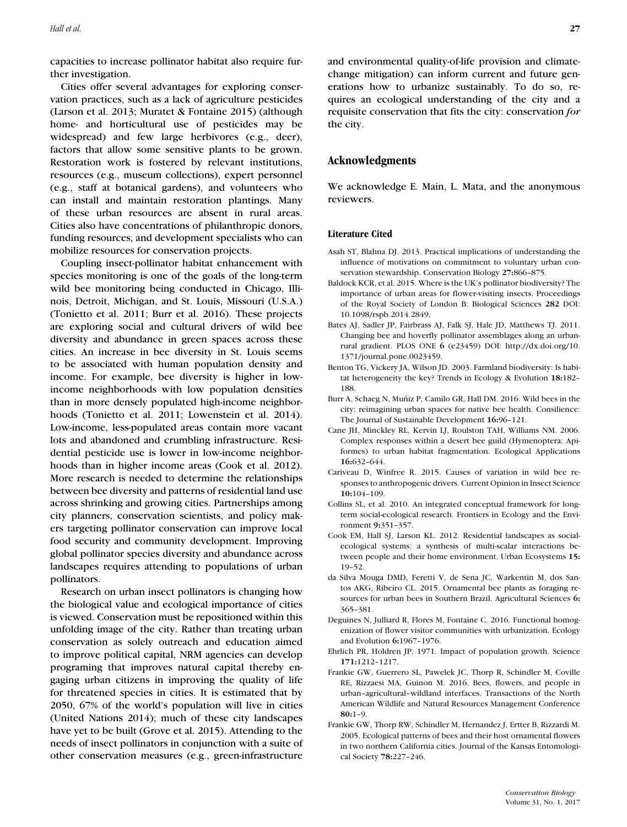capacities to increase pollinator habitat also require further investigation.

Cities offer several advantages for exploring conservation practices, such as a lack of agriculture pesticides (Larson et al. 2013; Muratet & Fontaine 2015) (although home- and horticultural use of pesticides may be widespread) and few large herbivores (e.g., deer), factors that allow some sensitive plants to be grown. Restoration work is fostered by relevant institutions, resources (e.g., museum collections), expert personnel (e.g., staff at botanical gardens), and volunteers who can install and maintain restoration plantings. Many of these urban resources are absent in rural areas. Cities also have concentrations of philanthropic donors, funding resources, and development specialists who can mobilize resources for conservation projects.

Coupling insect-pollinator habitat enhancement with species monitoring is one of the goals of the long-term wild bee monitoring being conducted in Chicago, Illinois, Detroit, Michigan, and St. Louis, Missouri (U.S.A.) (Tonietto et al. 2011; Burr et al. 2016). These projects are exploring social and cultural drivers of wild bee diversity and abundance in green spaces across these cities. An increase in bee diversity in St. Louis seems to be associated with human population density and income. For example, bee diversity is higher in lowincome neighborhoods with low population densities than in more densely populated high-income neighborhoods (Tonietto et al. 2011; Lowenstein et al. 2014). Low-income, less-populated areas contain more vacant lots and abandoned and crumbling infrastructure. Residential pesticide use is lower in low-income neighborhoods than in higher income areas (Cook et al. 2012). More research is needed to determine the relationships between bee diversity and patterns of residential land use across shrinking and growing cities. Partnerships among city planners, conservation scientists, and policy makers targeting pollinator conservation can improve local food security and community development. Improving global pollinator species diversity and abundance across landscapes requires attending to populations of urban pollinators.

Research on urban insect pollinators is changing how the biological value and ecological importance of cities is viewed. Conservation must be repositioned within this unfolding image of the city. Rather than treating urban conservation as solely outreach and education aimed to improve political capital, NRM agencies can develop programing that improves natural capital thereby engaging urban citizens in improving the quality of life for threatened species in cities. It is estimated that by 2050, 67% of the world's population will live in cities (United Nations 2014); much of these city landscapes have yet to be built (Grove et al. 2015). Attending to the needs of insect pollinators in conjunction with a suite of other conservation measures (e.g., green-infrastructure and environmental quality-of-life provision and climatechange mitigation) can inform current and future generations how to urbanize sustainably. To do so, requires an ecological understanding of the city and a requisite conservation that fits the city: conservation *for* the city.

## **Acknowledgments**

We acknowledge E. Main, L. Mata, and the anonymous reviewers.

## **Literature Cited**

- Asah ST, Blahna DJ. 2013. Practical implications of understanding the influence of motivations on commitment to voluntary urban conservation stewardship. Conservation Biology **27:**866–875.
- Baldock KCR, et al. 2015. Where is the UK's pollinator biodiversity? The importance of urban areas for flower-visiting insects. Proceedings of the Royal Society of London B: Biological Sciences **282** DOI: [10.1098/rspb.2014.2849.](https://doi.org/10.1098/rspb.2014.2849)
- Bates AJ, Sadler JP, Fairbrass AJ, Falk SJ, Hale JD, Matthews TJ. 2011. Changing bee and hoverfly pollinator assemblages along an urbanrural gradient. PLOS ONE **6** (e23459) DOI: [http://dx.doi.org/10.](http://dx.doi.org/10.1371/journal.pone.0023459) [1371/journal.pone.0023459.](http://dx.doi.org/10.1371/journal.pone.0023459)
- Benton TG, Vickery JA, Wilson JD. 2003. Farmland biodiversity: Is habitat heterogeneity the key? Trends in Ecology & Evolution **18:**182– 188.
- Burr A, Schaeg N, Muñiz P, Camilo GR, Hall DM. 2016. Wild bees in the city: reimagining urban spaces for native bee health. Consilience: The Journal of Sustainable Development **16:**96–121.
- Cane JH, Minckley RL, Kervin LJ, Roulston TAH, Williams NM. 2006. Complex responses within a desert bee guild (Hymenoptera: Apiformes) to urban habitat fragmentation. Ecological Applications **16:**632–644.
- Cariveau D, Winfree R. 2015. Causes of variation in wild bee responses to anthropogenic drivers. Current Opinion in Insect Science **10:**104–109.
- Collins SL, et al. 2010. An integrated conceptual framework for longterm social-ecological research. Frontiers in Ecology and the Environment **9:**351–357.
- Cook EM, Hall SJ, Larson KL. 2012. Residential landscapes as socialecological systems: a synthesis of multi-scalar interactions between people and their home environment. Urban Ecosystems **15:** 19–52.
- da Silva Mouga DMD, Feretti V, de Sena JC, Warkentin M, dos Santos AKG, Ribeiro CL. 2015. Ornamental bee plants as foraging resources for urban bees in Southern Brazil. Agricultural Sciences **6:** 365–381.
- Deguines N, Julliard R, Flores M, Fontaine C. 2016. Functional homogenization of flower visitor communities with urbanization. Ecology and Evolution **6:**1967–1976.
- Ehrlich PR, Holdren JP. 1971. Impact of population growth. Science **171:**1212–1217.
- Frankie GW, Guerrero SL, Pawelek JC, Thorp R, Schindler M, Coville RE, Rizzaesi MA, Guinon M. 2016. Bees, flowers, and people in urban–agricultural–wildland interfaces. Transactions of the North American Wildlife and Natural Resources Management Conference **80:**1–9.
- Frankie GW, Thorp RW, Schindler M, Hernandez J, Ertter B, Rizzardi M. 2005. Ecological patterns of bees and their host ornamental flowers in two northern California cities. Journal of the Kansas Entomological Society **78:**227–246.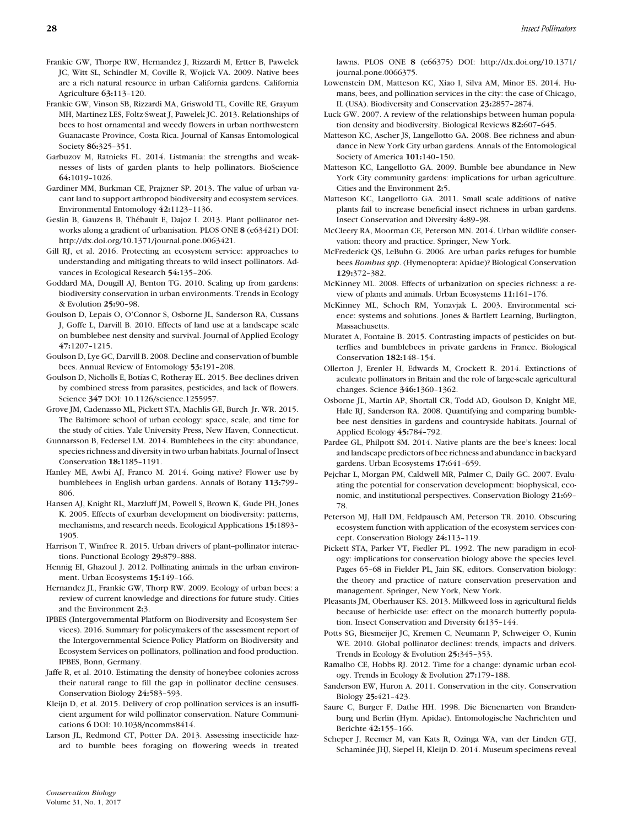- Frankie GW, Thorpe RW, Hernandez J, Rizzardi M, Ertter B, Pawelek JC, Witt SL, Schindler M, Coville R, Wojick VA. 2009. Native bees are a rich natural resource in urban California gardens. California Agriculture **63:**113–120.
- Frankie GW, Vinson SB, Rizzardi MA, Griswold TL, Coville RE, Grayum MH, Martinez LES, Foltz-Sweat J, Pawelek JC. 2013. Relationships of bees to host ornamental and weedy flowers in urban northwestern Guanacaste Province, Costa Rica. Journal of Kansas Entomological Society **86:**325–351.
- Garbuzov M, Ratnieks FL. 2014. Listmania: the strengths and weaknesses of lists of garden plants to help pollinators. BioScience **64:**1019–1026.
- Gardiner MM, Burkman CE, Prajzner SP. 2013. The value of urban vacant land to support arthropod biodiversity and ecosystem services. Environmental Entomology **42:**1123–1136.
- Geslin B, Gauzens B, Thébault E, Dajoz I. 2013. Plant pollinator networks along a gradient of urbanisation. PLOS ONE **8** (e63421) DOI: [http://dx.doi.org/10.1371/journal.pone.0063421.](http://dx.doi.org/10.1371/journal.pone.0063421)
- Gill RJ, et al. 2016. Protecting an ecosystem service: approaches to understanding and mitigating threats to wild insect pollinators. Advances in Ecological Research **54:**135–206.
- Goddard MA, Dougill AJ, Benton TG. 2010. Scaling up from gardens: biodiversity conservation in urban environments. Trends in Ecology & Evolution **25:**90–98.
- Goulson D, Lepais O, O'Connor S, Osborne JL, Sanderson RA, Cussans J, Goffe L, Darvill B. 2010. Effects of land use at a landscape scale on bumblebee nest density and survival. Journal of Applied Ecology **47:**1207–1215.
- Goulson D, Lye GC, Darvill B. 2008. Decline and conservation of bumble bees. Annual Review of Entomology **53:**191–208.
- Goulson D, Nicholls E, Botías C, Rotheray EL. 2015. Bee declines driven by combined stress from parasites, pesticides, and lack of flowers. Science **347** DOI: [10.1126/science.1255957.](https://doi.org/10.1126/science.1255957)
- Grove JM, Cadenasso ML, Pickett STA, Machlis GE, Burch Jr. WR. 2015. The Baltimore school of urban ecology: space, scale, and time for the study of cities. Yale University Press, New Haven, Connecticut.
- Gunnarsson B, Federsel LM. 2014. Bumblebees in the city: abundance, species richness and diversity in two urban habitats. Journal of Insect Conservation **18:**1185–1191.
- Hanley ME, Awbi AJ, Franco M. 2014. Going native? Flower use by bumblebees in English urban gardens. Annals of Botany **113:**799– 806.
- Hansen AJ, Knight RL, Marzluff JM, Powell S, Brown K, Gude PH, Jones K. 2005. Effects of exurban development on biodiversity: patterns, mechanisms, and research needs. Ecological Applications **15:**1893– 1905.
- Harrison T, Winfree R. 2015. Urban drivers of plant-pollinator interactions. Functional Ecology **29:**879–888.
- Hennig EI, Ghazoul J. 2012. Pollinating animals in the urban environment. Urban Ecosystems **15:**149–166.
- Hernandez JL, Frankie GW, Thorp RW. 2009. Ecology of urban bees: a review of current knowledge and directions for future study. Cities and the Environment **2:**3.
- IPBES (Intergovernmental Platform on Biodiversity and Ecosystem Services). 2016. Summary for policymakers of the assessment report of the Intergovernmental Science-Policy Platform on Biodiversity and Ecosystem Services on pollinators, pollination and food production. IPBES, Bonn, Germany.
- Jaffe R, et al. 2010. Estimating the density of honeybee colonies across their natural range to fill the gap in pollinator decline censuses. Conservation Biology **24:**583–593.
- Kleijn D, et al. 2015. Delivery of crop pollination services is an insufficient argument for wild pollinator conservation. Nature Communications **6** DOI: [10.1038/ncomms8414.](https://doi.org/10.1038/ncomms8414)
- Larson JL, Redmond CT, Potter DA. 2013. Assessing insecticide hazard to bumble bees foraging on flowering weeds in treated

lawns. PLOS ONE **8** (e66375) DOI: [http://dx.doi.org/10.1371/](http://dx.doi.org/10.1371/journal.pone.0066375) [journal.pone.0066375.](http://dx.doi.org/10.1371/journal.pone.0066375)

- Lowenstein DM, Matteson KC, Xiao I, Silva AM, Minor ES. 2014. Humans, bees, and pollination services in the city: the case of Chicago, IL (USA). Biodiversity and Conservation **23:**2857–2874.
- Luck GW. 2007. A review of the relationships between human population density and biodiversity. Biological Reviews **82:**607–645.
- Matteson KC, Ascher JS, Langellotto GA. 2008. Bee richness and abundance in New York City urban gardens. Annals of the Entomological Society of America **101:**140–150.
- Matteson KC, Langellotto GA. 2009. Bumble bee abundance in New York City community gardens: implications for urban agriculture. Cities and the Environment **2:**5.
- Matteson KC, Langellotto GA. 2011. Small scale additions of native plants fail to increase beneficial insect richness in urban gardens. Insect Conservation and Diversity **4:**89–98.
- McCleery RA, Moorman CE, Peterson MN. 2014. Urban wildlife conservation: theory and practice. Springer, New York.
- McFrederick QS, LeBuhn G. 2006. Are urban parks refuges for bumble bees *Bombus spp*. (Hymenoptera: Apidae)? Biological Conservation **129:**372–382.
- McKinney ML. 2008. Effects of urbanization on species richness: a review of plants and animals. Urban Ecosystems **11:**161–176.
- McKinney ML, Schoch RM, Yonavjak L. 2003. Environmental science: systems and solutions. Jones & Bartlett Learning, Burlington, Massachusetts.
- Muratet A, Fontaine B. 2015. Contrasting impacts of pesticides on butterflies and bumblebees in private gardens in France. Biological Conservation **182:**148–154.
- Ollerton J, Erenler H, Edwards M, Crockett R. 2014. Extinctions of aculeate pollinators in Britain and the role of large-scale agricultural changes. Science **346:**1360–1362.
- Osborne JL, Martin AP, Shortall CR, Todd AD, Goulson D, Knight ME, Hale RJ, Sanderson RA. 2008. Quantifying and comparing bumblebee nest densities in gardens and countryside habitats. Journal of Applied Ecology **45:**784–792.
- Pardee GL, Philpott SM. 2014. Native plants are the bee's knees: local and landscape predictors of bee richness and abundance in backyard gardens. Urban Ecosystems **17:**641–659.
- Pejchar L, Morgan PM, Caldwell MR, Palmer C, Daily GC. 2007. Evaluating the potential for conservation development: biophysical, economic, and institutional perspectives. Conservation Biology **21:**69– 78.
- Peterson MJ, Hall DM, Feldpausch AM, Peterson TR. 2010. Obscuring ecosystem function with application of the ecosystem services concept. Conservation Biology **24:**113–119.
- Pickett STA, Parker VT, Fiedler PL. 1992. The new paradigm in ecology: implications for conservation biology above the species level. Pages 65–68 in Fielder PL, Jain SK, editors. Conservation biology: the theory and practice of nature conservation preservation and management. Springer, New York, New York.
- Pleasants JM, Oberhauser KS. 2013. Milkweed loss in agricultural fields because of herbicide use: effect on the monarch butterfly population. Insect Conservation and Diversity **6:**135–144.
- Potts SG, Biesmeijer JC, Kremen C, Neumann P, Schweiger O, Kunin WE. 2010. Global pollinator declines: trends, impacts and drivers. Trends in Ecology & Evolution **25:**345–353.
- Ramalho CE, Hobbs RJ. 2012. Time for a change: dynamic urban ecology. Trends in Ecology & Evolution **27:**179–188.
- Sanderson EW, Huron A. 2011. Conservation in the city. Conservation Biology **25:**421–423.
- Saure C, Burger F, Dathe HH. 1998. Die Bienenarten von Brandenburg und Berlin (Hym. Apidae). Entomologische Nachrichten und Berichte **42:**155–166.
- Scheper J, Reemer M, van Kats R, Ozinga WA, van der Linden GTJ, Schaminée JHJ, Siepel H, Kleijn D. 2014. Museum specimens reveal